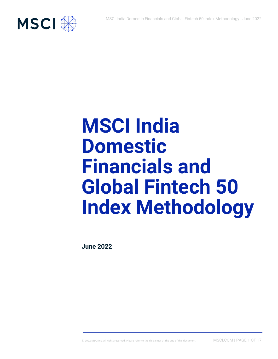

# **MSCI India Domestic Financials and Global Fintech 50 Index Methodology**

**June 2022**

© 2022 MSCI Inc. All rights reserved. Please refer to the disclaimer at the end of this document. MSCI.COM | PAGE 1 OF 17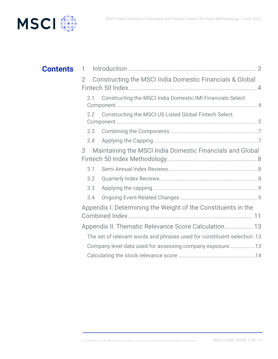

| <b>Contents</b> | 1                                                                                    |
|-----------------|--------------------------------------------------------------------------------------|
|                 | <b>Constructing the MSCI India Domestic Financials &amp; Global</b><br>$\mathcal{P}$ |
|                 | Constructing the MSCI India Domestic IMI Financials Select<br>2.1                    |
|                 | Constructing the MSCI US Listed Global Fintech Select<br>2.2                         |
|                 | 2.3                                                                                  |
|                 | 2.4                                                                                  |
|                 | Maintaining the MSCI India Domestic Financials and Global<br>3                       |
|                 |                                                                                      |
|                 | 3.1                                                                                  |
|                 | 3.2                                                                                  |
|                 | 3.3                                                                                  |
|                 | 3.4                                                                                  |
|                 | Appendix I: Determining the Weight of the Constituents in the                        |
|                 | Appendix II: Thematic Relevance Score Calculation 13                                 |
|                 | The set of relevant words and phrases used for constituent selection.13              |
|                 | Company level data used for assessing company exposure13                             |
|                 |                                                                                      |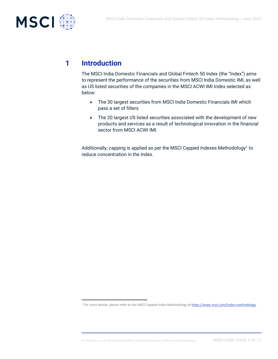

# **1 Introduction**

The MSCI India Domestic Financials and Global Fintech 50 Index (the "Index") aims to represent the performance of the securities from MSCI India Domestic IMI, as well as US listed securities of the companies in the MSCI ACWI IMI Index selected as below:

- The 30 largest securities from MSCI India Domestic Financials IMI which pass a set of filters
- The 20 largest US listed securities associated with the development of new products and services as a result of technological innovation in the financial sector from MSCI ACWI IMI.

Additionally, capping is applied as per the MSCI Capped Indexes Methodology<sup>1</sup> to reduce concentration in the Index.

<sup>1</sup> For more details, please refer to the MSCI Capped Index Methodology a[t https://www.msci.com/index-methodology.](https://www.msci.com/index-methodology)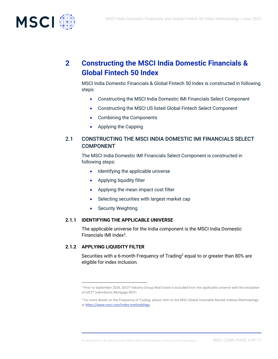

# **2 Constructing the MSCI India Domestic Financials & Global Fintech 50 Index**

MSCI India Domestic Financials & Global Fintech 50 Index is constructed in following steps:

- Constructing the MSCI India Domestic IMI Financials Select Component
- Constructing the MSCI US listed Global Fintech Select Component
- Combining the Components
- Applying the Capping

## 2.1 CONSTRUCTING THE MSCI INDIA DOMESTIC IMI FINANCIALS SELECT COMPONENT

The MSCI India Domestic IMI Financials Select Component is constructed in following steps:

- Identifying the applicable universe
- Applying liquidity filter
- Applying the mean impact cost filter
- Selecting securities with largest market cap
- Security Weighting

#### **2.1.1 IDENTIFYING THE APPLICABLE UNIVERSE**

The applicable universe for the India component is the MSCI India Domestic Financials IMI Index<sup>2</sup>.

#### **2.1.2 APPLYING LIQUIDITY FILTER**

Securities with a 6-month Frequency of Trading<sup>3</sup> equal to or greater than 80% are eligible for index inclusion.

<sup>&</sup>lt;sup>2</sup> Prior to September 2016, GICS® Industry Group Real Estate is excluded from the applicable universe with the exception of GICS® Subindustry Mortgage REITs

<sup>&</sup>lt;sup>3</sup> For more details on the Frequency of Trading, please refer to the MSCI Global Investable Market Indexes Methodology a[t https://www.msci.com/index-methodology](https://www.msci.com/index-methodology)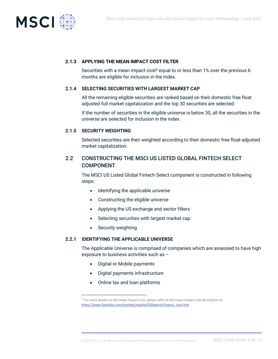

#### **2.1.3 APPLYING THE MEAN IMPACT COST FILTER**

Securities with a mean impact cost<sup>4</sup> equal to or less than 1% over the previous 6 months are eligible for inclusion in the Index.

#### **2.1.4 SELECTING SECURITIES WITH LARGEST MARKET CAP**

All the remaining eligible securities are ranked based on their domestic free float adjusted full market capitalization and the top 30 securities are selected.

If the number of securities in the eligible universe is below 30, all the securities in the universe are selected for inclusion in the index.

#### **2.1.5 SECURITY WEIGHTING**

Selected securities are then weighted according to their domestic free float-adjusted market capitalization.

## 2.2 CONSTRUCTING THE MSCI US LISTED GLOBAL FINTECH SELECT COMPONENT

The MSCI US Listed Global Fintech Select component is constructed in following steps:

- Identifying the applicable universe
- Constructing the eligible universe
- Applying the US exchange and sector filters
- Selecting securities with largest market cap
- Security weighting

#### **2.2.1 IDENTIFYING THE APPLICABLE UNIVERSE**

The Applicable Universe is comprised of companies which are assessed to have high exposure to business activities such as –

- Digital or Mobile payments
- Digital payments infrastructure
- Online tax and loan platforms

<sup>4</sup> For more details on the mean impact cost, please refer to the mean impact cost description at [https://www.bseindia.com/markets/equity/EQReports/impact\\_cost.htm](https://www.bseindia.com/markets/equity/EQReports/impact_cost.htm)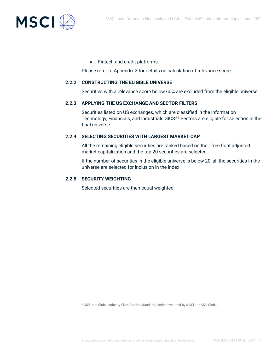

• Fintech and credit platforms.

Please refer to Appendix 2 for details on calculation of relevance score.

#### **2.2.2 CONSTRUCTING THE ELIGIBLE UNIVERSE**

Securities with a relevance score below 60% are excluded from the eligible universe.

#### **2.2.3 APPLYING THE US EXCHANGE AND SECTOR FILTERS**

Securities listed on US exchanges, which are classified in the Information Technology, Financials, and Industrials GICS®<sup>5</sup> Sectors are eligible for selection in the final universe.

#### **2.2.4 SELECTING SECURITIES WITH LARGEST MARKET CAP**

All the remaining eligible securities are ranked based on their free float adjusted market capitalization and the top 20 securities are selected.

If the number of securities in the eligible universe is below 20, all the securities in the universe are selected for inclusion in the index.

#### **2.2.5 SECURITY WEIGHTING**

Selected securities are then equal weighted.

<sup>5</sup> GICS, the Global Industry Classification Standard jointly developed by MSCI and S&P Global.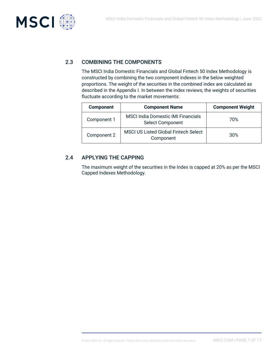

# 2.3 COMBINING THE COMPONENTS

The MSCI India Domestic Financials and Global Fintech 50 Index Methodology is constructed by combining the two component indexes in the below weighted proportions. The weight of the securities in the combined index are calculated as described in the Appendix I. In between the index reviews, the weights of securities fluctuate according to the market movements:

| <b>Component</b>                                                        | <b>Component Name</b>                                                | <b>Component Weight</b> |
|-------------------------------------------------------------------------|----------------------------------------------------------------------|-------------------------|
| Component 1                                                             | <b>MSCI India Domestic IMI Financials</b><br><b>Select Component</b> | 70%                     |
| <b>MSCI US Listed Global Fintech Select</b><br>Component 2<br>Component |                                                                      | 30%                     |

## 2.4 APPLYING THE CAPPING

The maximum weight of the securities in the Index is capped at 20% as per the MSCI Capped Indexes Methodology.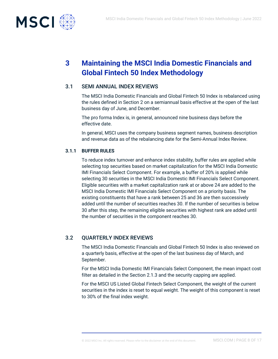

# **3 Maintaining the MSCI India Domestic Financials and Global Fintech 50 Index Methodology**

## 3.1 SEMI ANNUAL INDEX REVIEWS

The MSCI India Domestic Financials and Global Fintech 50 Index is rebalanced using the rules defined in Section 2 on a semiannual basis effective at the open of the last business day of June, and December.

The pro forma Index is, in general, announced nine business days before the effective date.

In general, MSCI uses the company business segment names, business description and revenue data as of the rebalancing date for the Semi-Annual Index Review.

#### **3.1.1 BUFFER RULES**

To reduce index turnover and enhance index stability, buffer rules are applied while selecting top securities based on market capitalization for the MSCI India Domestic IMI Financials Select Component. For example, a buffer of 20% is applied while selecting 30 securities in the MSCI India Domestic IMI Financials Select Component. Eligible securities with a market capitalization rank at or above 24 are added to the MSCI India Domestic IMI Financials Select Component on a priority basis. The existing constituents that have a rank between 25 and 36 are then successively added until the number of securities reaches 30. If the number of securities is below 30 after this step, the remaining eligible securities with highest rank are added until the number of securities in the component reaches 30.

# 3.2 QUARTERLY INDEX REVIEWS

The MSCI India Domestic Financials and Global Fintech 50 Index is also reviewed on a quarterly basis, effective at the open of the last business day of March, and September.

For the MSCI India Domestic IMI Financials Select Component, the mean impact cost filter as detailed in the Section 2.1.3 and the security capping are applied.

For the MSCI US Listed Global Fintech Select Component, the weight of the current securities in the index is reset to equal weight. The weight of this component is reset to 30% of the final index weight.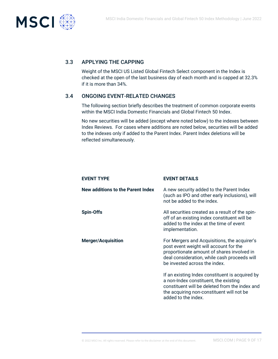

## 3.3 APPLYING THE CAPPING

Weight of the MSCI US Listed Global Fintech Select component in the Index is checked at the open of the last business day of each month and is capped at 32.3% if it is more than 34%.

#### 3.4 ONGOING EVENT-RELATED CHANGES

The following section briefly describes the treatment of common corporate events within the MSCI India Domestic Financials and Global Fintech 50 Index.

No new securities will be added (except where noted below) to the indexes between Index Reviews. For cases where additions are noted below, securities will be added to the indexes only if added to the Parent Index. Parent Index deletions will be reflected simultaneously.

| <b>EVENT TYPE</b>                 | <b>EVENT DETAILS</b>                                                                                                                                                                                                  |
|-----------------------------------|-----------------------------------------------------------------------------------------------------------------------------------------------------------------------------------------------------------------------|
| New additions to the Parent Index | A new security added to the Parent Index<br>(such as IPO and other early inclusions), will<br>not be added to the index.                                                                                              |
| <b>Spin-Offs</b>                  | All securities created as a result of the spin-<br>off of an existing index constituent will be<br>added to the index at the time of event<br>implementation.                                                         |
| <b>Merger/Acquisition</b>         | For Mergers and Acquisitions, the acquirer's<br>post event weight will account for the<br>proportionate amount of shares involved in<br>deal consideration, while cash proceeds will<br>be invested across the index. |
|                                   | If an existing Index constituent is acquired by<br>a non-Index constituent, the existing<br>constituent will be deleted from the index and<br>the acquiring non-constituent will not be<br>added to the index.        |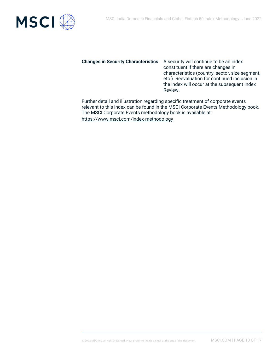

## **Changes in Security Characteristics** A security will continue to be an index

constituent if there are changes in characteristics (country, sector, size segment, etc.). Reevaluation for continued inclusion in the index will occur at the subsequent Index Review.

Further detail and illustration regarding specific treatment of corporate events relevant to this index can be found in the MSCI Corporate Events Methodology book. The MSCI Corporate Events methodology book is available at: <https://www.msci.com/index-methodology>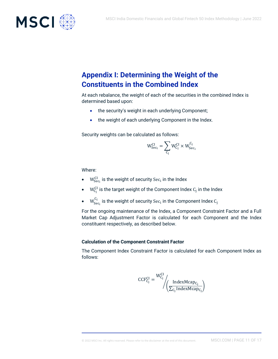

# **Appendix I: Determining the Weight of the Constituents in the Combined Index**

At each rebalance, the weight of each of the securities in the combined Index is determined based upon:

- the security's weight in each underlying Component;
- the weight of each underlying Component in the Index.

Security weights can be calculated as follows:

$$
W^{CI}_{Sec_i} = \sum_{C_j} W^{CI}_{C_j} \times W^{C_j}_{Sec_i}
$$

Where:

- $\bullet$  W $_{\rm Sec_i}^{\rm CI}$  is the weight of security Sec $_{\rm i}$  in the Index
- $\bullet$   $\quad$  W $_{C_{j}}^{CI}$  is the target weight of the Component Index  $C_{j}$  in the Index
- $\bullet$   $\quad$   $\rm W^{C_j}_{\rm Sec_i}$  is the weight of security Sec<sub>i</sub> in the Component Index  $\rm C_j$

For the ongoing maintenance of the Index, a Component Constraint Factor and a Full Market Cap Adjustment Factor is calculated for each Component and the Index constituent respectively, as described below.

#### **Calculation of the Component Constraint Factor**

The Component Index Constraint Factor is calculated for each Component Index as follows:

$$
CCF_{C_j}^{CI} = \frac{W_{C_j}^{CI}}{\sqrt{\frac{IndexMacp_{C_j}}{\sum_{C_j}IndexMacp_{C_j}}}}
$$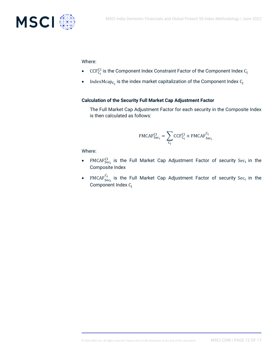

#### Where:

- $\bullet$   $\phantom{i}$  CCF $_{G_{\rm j}}^{\rm CI}$  is the Component Index Constraint Factor of the Component Index  $G_{\rm j}$
- IndexMcap $_{C_j}$  is the index market capitalization of the Component Index  $C_j$

#### **Calculation of the Security Full Market Cap Adjustment Factor**

The Full Market Cap Adjustment Factor for each security in the Composite Index is then calculated as follows:

$$
\text{FMCAF}^{\text{CI}}_{\text{Sec}_i} = \sum_{C_j} \text{CCF}^{\text{CI}}_{C_j} \times \text{FMCAF}^{\text{C}_j}_{\text{Sec}_i}
$$

Where:

- FMCA $F_{\text{Sec}_1}^{\text{CI}}$  is the Full Market Cap Adjustment Factor of security Se $c_i$  in the Composite Index
- FMCA $F^{C_j}_{\rm sec_i}$  is the Full Market Cap Adjustment Factor of security Se $c_i$  in the Component Index C<sub>i</sub>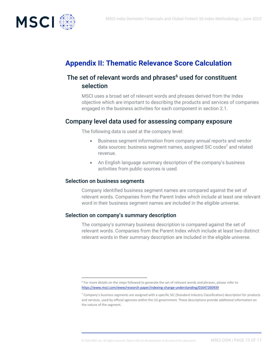

# **Appendix II: Thematic Relevance Score Calculation**

# The set of relevant words and phrases<sup>6</sup> used for constituent selection

MSCI uses a broad set of relevant words and phrases derived from the Index objective which are important to describing the products and services of companies engaged in the business activities for each component in section 2.1.

# Company level data used for assessing company exposure

The following data is used at the company level:

- Business segment information from company annual reports and vendor data sources: business segment names, assigned SIC codes<sup>7</sup> and related revenue.
- An English language summary description of the company's business activities from public sources is used.

#### Selection on business segments

Company identified business segment names are compared against the set of relevant words. Companies from the Parent Index which include at least one relevant word in their business segment names are included in the eligible universe.

#### Selection on company's summary description

The company's summary business description is compared against the set of relevant words. Companies from the Parent Index which include at least two distinct relevant words in their summary description are included in the eligible universe.

<sup>&</sup>lt;sup>6</sup> For more details on the steps followed to generate the set of relevant words and phrases, please refer to <https://www.msci.com/www/research-paper/indexing-change-understanding/01647260939>

<sup>7</sup> Company's business segments are assigned with a specific SIC (Standard Industry Classification) description for products and services, used by official agencies within the US government. These descriptions provide additional information on the nature of the segment.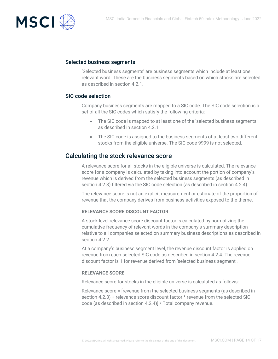

#### Selected business segments

'Selected business segments' are business segments which include at least one relevant word. These are the business segments based on which stocks are selected as described in section 4.2.1.

#### SIC code selection

Company business segments are mapped to a SIC code. The SIC code selection is a set of all the SIC codes which satisfy the following criteria:

- The SIC code is mapped to at least one of the 'selected business segments' as described in section 4.2.1.
- The SIC code is assigned to the business segments of at least two different stocks from the eligible universe. The SIC code 9999 is not selected.

# Calculating the stock relevance score

A relevance score for all stocks in the eligible universe is calculated. The relevance score for a company is calculated by taking into account the portion of company's revenue which is derived from the selected business segments (as described in section 4.2.3) filtered via the SIC code selection (as described in section 4.2.4).

The relevance score is not an explicit measurement or estimate of the proportion of revenue that the company derives from business activities exposed to the theme.

#### **RELEVANCE SCORE DISCOUNT FACTOR**

A stock level relevance score discount factor is calculated by normalizing the cumulative frequency of relevant words in the company's summary description relative to all companies selected on summary business descriptions as described in section 4.2.2.

At a company's business segment level, the revenue discount factor is applied on revenue from each selected SIC code as described in section 4.2.4. The revenue discount factor is 1 for revenue derived from 'selected business segment'.

#### **RELEVANCE SCORE**

Relevance score for stocks in the eligible universe is calculated as follows:

Relevance score = [revenue from the selected business segments (as described in section 4.2.3) + relevance score discount factor \* revenue from the selected SIC code (as described in section 4.2.4)] / Total company revenue.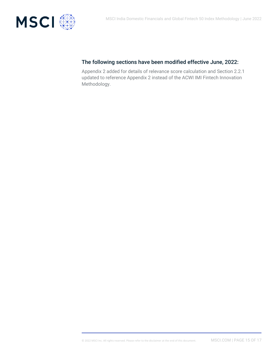

# The following sections have been modified effective June, 2022:

Appendix 2 added for details of relevance score calculation and Section 2.2.1 updated to reference Appendix 2 instead of the ACWI IMI Fintech Innovation Methodology.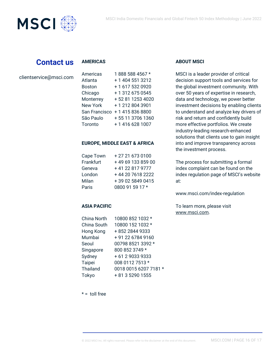

# **Contact us**

#### **AMERICAS**

| clientservice@msci.com |
|------------------------|
|------------------------|

| Americas        | 1888 588 4567 *  |
|-----------------|------------------|
| Atlanta         | + 1 404 551 3212 |
| <b>Boston</b>   | +1 617 532 0920  |
| Chicago         | +13126750545     |
| Monterrey       | +52 81 1253 4020 |
| <b>New York</b> | +12128043901     |
| San Francisco   | +14158368800     |
| São Paulo       | +55 11 3706 1360 |
| Toronto         | + 1 416 628 1007 |

#### **EUROPE, MIDDLE EAST & AFRICA**

| Cape Town | +27 21 673 0100   |
|-----------|-------------------|
| Frankfurt | +49 69 133 859 00 |
| Geneva    | +41 22 817 9777   |
| London    | +44 20 7618 2222  |
| Milan     | +39 02 5849 0415  |
| Paris     | 0800 91 59 17 *   |

#### **ASIA PACIFIC**

| China North     | 10800 852 1032 *      |
|-----------------|-----------------------|
| China South     | 10800 152 1032 *      |
| Hong Kong       | +852 2844 9333        |
| Mumbai          | +91 22 6784 9160      |
| Seoul           | 00798 8521 3392 *     |
| Singapore       | 800 852 3749 *        |
| Sydney          | +61290339333          |
| <b>Taipei</b>   | 008 0112 7513 *       |
| <b>Thailand</b> | 0018 0015 6207 7181 * |
| Tokyo           | + 81 3 5290 1555      |
|                 |                       |

## **ABOUT MSCI**

MSCI is a leader provider of critical decision support tools and services for the global investment community. With over 50 years of expertise in research, data and technology, we power better investment decisions by enabling clients to understand and analyze key drivers of risk and return and confidently build more effective portfolios. We create industry-leading research-enhanced solutions that clients use to gain insight into and improve transparency across the investment process.

The process for submitting a formal index complaint can be found on the index regulation page of MSCI's website at:

www.msci.com/index-regulation

To learn more, please visit [www.msci.com.](https://www.msci.com/)

#### $* =$  toll free